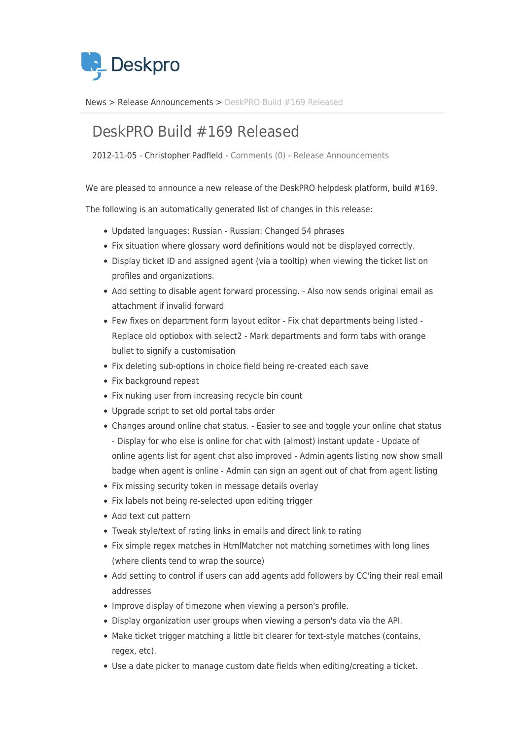

[News](https://support.deskpro.com/sv/news) > [Release Announcements](https://support.deskpro.com/sv/news/release-announcements) > [DeskPRO Build #169 Released](https://support.deskpro.com/sv/news/posts/deskpro-build-169-released)

## DeskPRO Build #169 Released

2012-11-05 - Christopher Padfield - [Comments \(0\)](#page--1-0) - [Release Announcements](https://support.deskpro.com/sv/news/release-announcements)

We are pleased to announce a new release of the DeskPRO helpdesk platform, build #169.

The following is an automatically generated list of changes in this release:

- Updated languages: Russian Russian: Changed 54 phrases
- Fix situation where glossary word definitions would not be displayed correctly.
- Display ticket ID and assigned agent (via a tooltip) when viewing the ticket list on profiles and organizations.
- Add setting to disable agent forward processing. Also now sends original email as attachment if invalid forward
- Few fixes on department form layout editor Fix chat departments being listed Replace old optiobox with select2 - Mark departments and form tabs with orange bullet to signify a customisation
- Fix deleting sub-options in choice field being re-created each save
- Fix background repeat
- Fix nuking user from increasing recycle bin count
- Upgrade script to set old portal tabs order
- Changes around online chat status. Easier to see and toggle your online chat status - Display for who else is online for chat with (almost) instant update - Update of online agents list for agent chat also improved - Admin agents listing now show small badge when agent is online - Admin can sign an agent out of chat from agent listing
- Fix missing security token in message details overlay
- Fix labels not being re-selected upon editing trigger
- Add text cut pattern
- Tweak style/text of rating links in emails and direct link to rating
- Fix simple regex matches in HtmlMatcher not matching sometimes with long lines (where clients tend to wrap the source)
- Add setting to control if users can add agents add followers by CC'ing their real email addresses
- Improve display of timezone when viewing a person's profile.
- Display organization user groups when viewing a person's data via the API.
- Make ticket trigger matching a little bit clearer for text-style matches (contains, regex, etc).
- Use a date picker to manage custom date fields when editing/creating a ticket.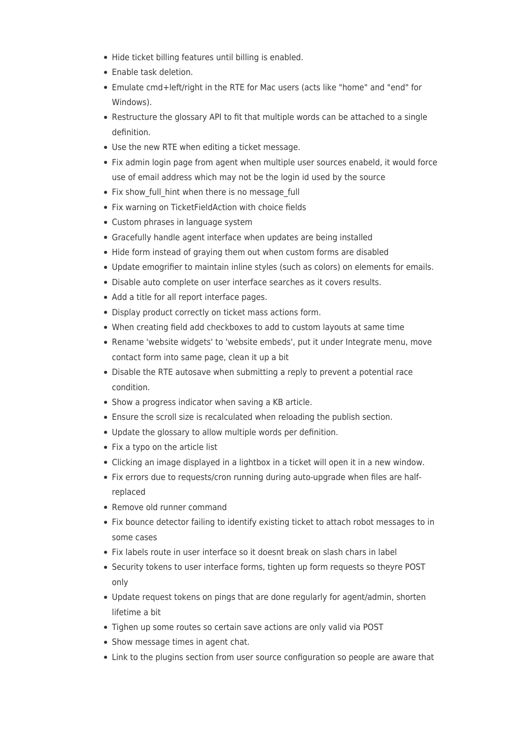- Hide ticket billing features until billing is enabled.
- Enable task deletion.
- Emulate cmd+left/right in the RTE for Mac users (acts like "home" and "end" for Windows).
- Restructure the glossary API to fit that multiple words can be attached to a single definition.
- Use the new RTE when editing a ticket message.
- Fix admin login page from agent when multiple user sources enabeld, it would force use of email address which may not be the login id used by the source
- Fix show full hint when there is no message full
- Fix warning on TicketFieldAction with choice fields
- Custom phrases in language system
- Gracefully handle agent interface when updates are being installed
- Hide form instead of graying them out when custom forms are disabled
- Update emogrifier to maintain inline styles (such as colors) on elements for emails.
- Disable auto complete on user interface searches as it covers results.
- Add a title for all report interface pages.
- Display product correctly on ticket mass actions form.
- When creating field add checkboxes to add to custom layouts at same time
- Rename 'website widgets' to 'website embeds', put it under Integrate menu, move contact form into same page, clean it up a bit
- Disable the RTE autosave when submitting a reply to prevent a potential race condition.
- Show a progress indicator when saving a KB article.
- Ensure the scroll size is recalculated when reloading the publish section.
- Update the glossary to allow multiple words per definition.
- Fix a typo on the article list
- Clicking an image displayed in a lightbox in a ticket will open it in a new window.
- Fix errors due to requests/cron running during auto-upgrade when files are halfreplaced
- Remove old runner command
- Fix bounce detector failing to identify existing ticket to attach robot messages to in some cases
- Fix labels route in user interface so it doesnt break on slash chars in label
- Security tokens to user interface forms, tighten up form requests so theyre POST only
- Update request tokens on pings that are done regularly for agent/admin, shorten lifetime a bit
- Tighen up some routes so certain save actions are only valid via POST
- Show message times in agent chat.
- Link to the plugins section from user source configuration so people are aware that